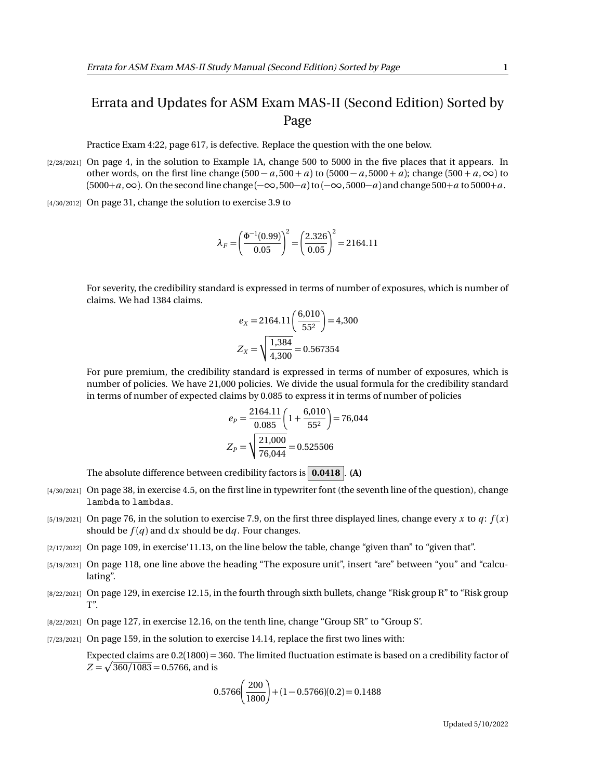## Errata and Updates for ASM Exam MAS-II (Second Edition) Sorted by Page

Practice Exam 4:22, page 617, is defective. Replace the question with the one below.

- [2/28/2021] On page 4, in the solution to Example 1A, change 500 to 5000 in the five places that it appears. In other words, on the first line change  $(500 - a, 500 + a)$  to  $(5000 - a, 5000 + a)$ ; change  $(500 + a, \infty)$  to (5000+*a*,∞). On the second line change (−∞, 500−*a*)to (−∞, 5000−*a*) and change 500+*a* to 5000+*a*.
- [4/30/2012] On page 31, change the solution to exercise 3.9 to

$$
\lambda_F = \left(\frac{\Phi^{-1}(0.99)}{0.05}\right)^2 = \left(\frac{2.326}{0.05}\right)^2 = 2164.11
$$

For severity, the credibility standard is expressed in terms of number of exposures, which is number of claims. We had 1384 claims.

$$
e_X = 2164.11 \left(\frac{6,010}{55^2}\right) = 4,300
$$

$$
Z_X = \sqrt{\frac{1,384}{4,300}} = 0.567354
$$

For pure premium, the credibility standard is expressed in terms of number of exposures, which is number of policies. We have 21,000 policies. We divide the usual formula for the credibility standard in terms of number of expected claims by 0.085 to express it in terms of number of policies

$$
e_P = \frac{2164.11}{0.085} \left( 1 + \frac{6,010}{55^2} \right) = 76,044
$$

$$
Z_P = \sqrt{\frac{21,000}{76,044}} = 0.525506
$$

The absolute difference between credibility factors is **0.0418** . **(A)**

- [4/30/2021] On page 38, in exercise 4.5, on the first line in typewriter font (the seventh line of the question), change lambda to lambdas.
- [5/19/2021] On page 76, in the solution to exercise 7.9, on the first three displayed lines, change every *x* to  $q$ :  $f(x)$ should be  $f(q)$  and dx should be dq. Four changes.
- [2/17/2022] On page 109, in exercise'11.13, on the line below the table, change "given than" to "given that".
- [5/19/2021] On page 118, one line above the heading "The exposure unit", insert "are" between "you" and "calculating".
- [8/22/2021] On page 129, in exercise 12.15, in the fourth through sixth bullets, change "Risk group R" to "Risk group T".
- [8/22/2021] On page 127, in exercise 12.16, on the tenth line, change "Group SR" to "Group S'.
- [7/23/2021] On page 159, in the solution to exercise 14.14, replace the first two lines with:

Expected claims are 0.2(1800) = 360. The limited fluctuation estimate is based on a credibility factor of  $Z = \sqrt{360/1083} = 0.5766$ , and is

$$
0.5766 \left(\frac{200}{1800}\right) + (1 - 0.5766)(0.2) = 0.1488
$$

Updated 5/10/2022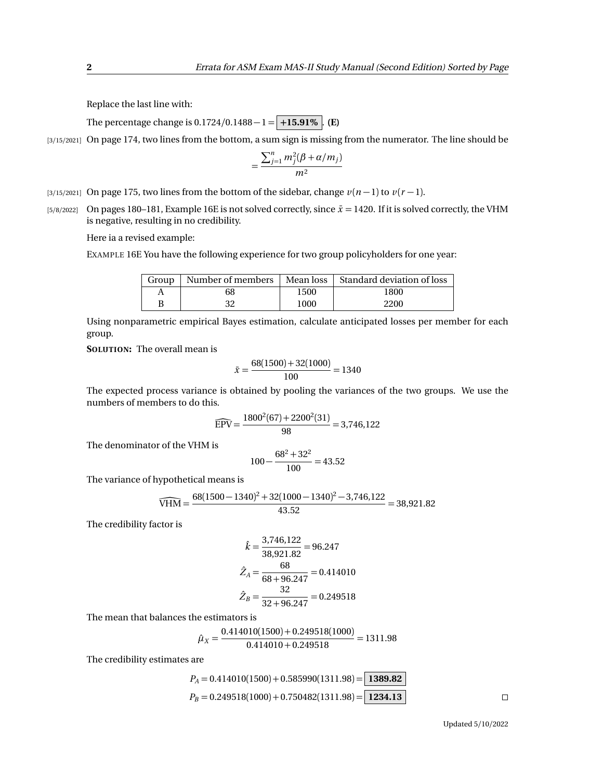Replace the last line with:

The percentage change is  $0.1724/0.1488 - 1 = +15.91\%$  . **(E)** 

[3/15/2021] On page 174, two lines from the bottom, a sum sign is missing from the numerator. The line should be

$$
=\frac{\sum_{j=1}^n m_j^2(\beta+\alpha/m_j)}{m^2}
$$

- [3/15/2021] On page 175, two lines from the bottom of the sidebar, change  $v(n-1)$  to  $v(r-1)$ .
- [5/8/2022] On pages 180–181, Example 16E is not solved correctly, since  $\bar{x} = 1420$ . If it is solved correctly, the VHM is negative, resulting in no credibility.

Here ia a revised example:

EXAMPLE 16E You have the following experience for two group policyholders for one year:

| Group |    |      | Number of members   Mean loss   Standard deviation of loss |
|-------|----|------|------------------------------------------------------------|
|       | 68 | 1500 | 1800                                                       |
| B     | າາ | 1000 | 2200                                                       |

Using nonparametric empirical Bayes estimation, calculate anticipated losses per member for each group.

**SOLUTION:** The overall mean is

$$
\bar{x} = \frac{68(1500) + 32(1000)}{100} = 1340
$$

The expected process variance is obtained by pooling the variances of the two groups. We use the numbers of members to do this.

$$
\widehat{\text{EPV}} = \frac{1800^2(67) + 2200^2(31)}{98} = 3,746,122
$$

The denominator of the VHM is

$$
100 - \frac{68^2 + 32^2}{100} = 43.52
$$

The variance of hypothetical means is

$$
\widehat{\text{VHM}} = \frac{68(1500 - 1340)^2 + 32(1000 - 1340)^2 - 3,746,122}{43.52} = 38,921.82
$$

The credibility factor is

$$
\hat{k} = \frac{3,746,122}{38,921.82} = 96.247
$$

$$
\hat{Z}_A = \frac{68}{68 + 96.247} = 0.414010
$$

$$
\hat{Z}_B = \frac{32}{32 + 96.247} = 0.249518
$$

The mean that balances the estimators is

$$
\hat{\mu}_X = \frac{0.414010(1500) + 0.249518(1000)}{0.414010 + 0.249518} = 1311.98
$$

The credibility estimates are

$$
P_A = 0.414010(1500) + 0.585990(1311.98) = 1389.82
$$
  
\n
$$
P_B = 0.249518(1000) + 0.750482(1311.98) = 1234.13
$$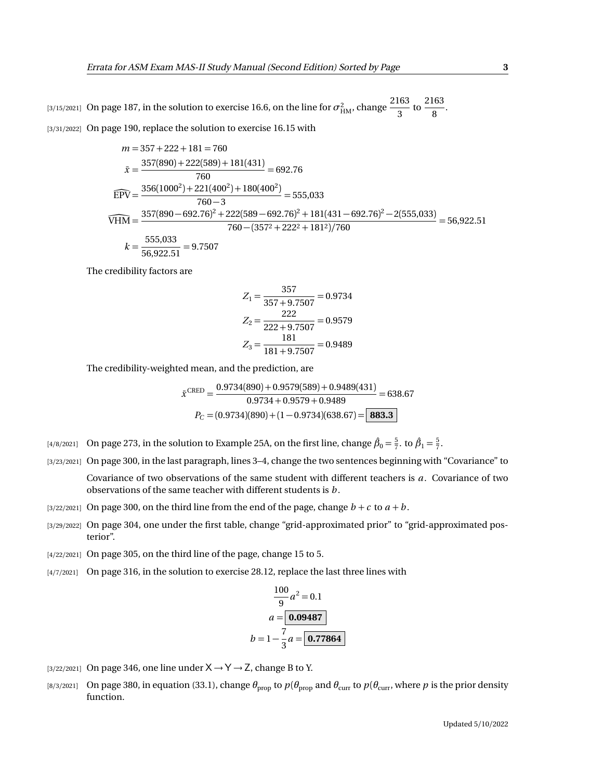[3/15/2021] On page 187, in the solution to exercise 16.6, on the line for  $\sigma^2_\text{HM}$ , change  $\frac{2163}{3}$  $\frac{163}{3}$  to  $\frac{2163}{8}$  $\frac{1}{8}$ . [3/31/2022] On page 190, replace the solution to exercise 16.15 with

$$
m = 357 + 222 + 181 = 760
$$
  
\n
$$
\bar{x} = \frac{357(890) + 222(589) + 181(431)}{760} = 692.76
$$
  
\n
$$
\widehat{EPV} = \frac{356(1000^2) + 221(400^2) + 180(400^2)}{760 - 3} = 555,033
$$
  
\n
$$
\widehat{VHM} = \frac{357(890 - 692.76)^2 + 222(589 - 692.76)^2 + 181(431 - 692.76)^2 - 2(555,033)}{760 - (357^2 + 222^2 + 181^2)/760} = 56,922.51
$$
  
\n
$$
k = \frac{555,033}{56,922.51} = 9.7507
$$

The credibility factors are

$$
Z_1 = \frac{357}{357 + 9.7507} = 0.9734
$$

$$
Z_2 = \frac{222}{222 + 9.7507} = 0.9579
$$

$$
Z_3 = \frac{181}{181 + 9.7507} = 0.9489
$$

The credibility-weighted mean, and the prediction, are

$$
\bar{x}^{\text{CRED}} = \frac{0.9734(890) + 0.9579(589) + 0.9489(431)}{0.9734 + 0.9579 + 0.9489} = 638.67
$$

$$
P_C = (0.9734)(890) + (1 - 0.9734)(638.67) = \boxed{\textbf{883.3}}
$$

- <sup>[4/8/2021]</sup> On page 273, in the solution to Example 25A, on the first line, change  $\hat{\beta}_0 = \frac{5}{7}$ . to  $\hat{\beta}_1 = \frac{5}{7}$ .
- [3/23/2021] On page 300, in the last paragraph, lines 3–4, change the two sentences beginning with "Covariance" to Covariance of two observations of the same student with different teachers is *a*. Covariance of two

observations of the same teacher with different students is *b* .

- [3/22/2021] On page 300, on the third line from the end of the page, change  $b + c$  to  $a + b$ .
- [3/29/2022] On page 304, one under the first table, change "grid-approximated prior" to "grid-approximated posterior".
- [4/22/2021] On page 305, on the third line of the page, change 15 to 5.
- [4/7/2021] On page 316, in the solution to exercise 28.12, replace the last three lines with

$$
\frac{100}{9}a^2 = 0.1
$$
  

$$
a = \boxed{0.09487}
$$
  

$$
b = 1 - \frac{7}{3}a = \boxed{0.77864}
$$

- [3/22/2021] On page 346, one line under  $X \rightarrow Y \rightarrow Z$ , change B to Y.
- [8/3/2021] On page 380, in equation (33.1), change  $\theta_{\text{prop}}$  to  $p(\theta_{\text{prop}})$  and  $\theta_{\text{curr}}$  to  $p(\theta_{\text{curr}})$ , where  $p$  is the prior density function.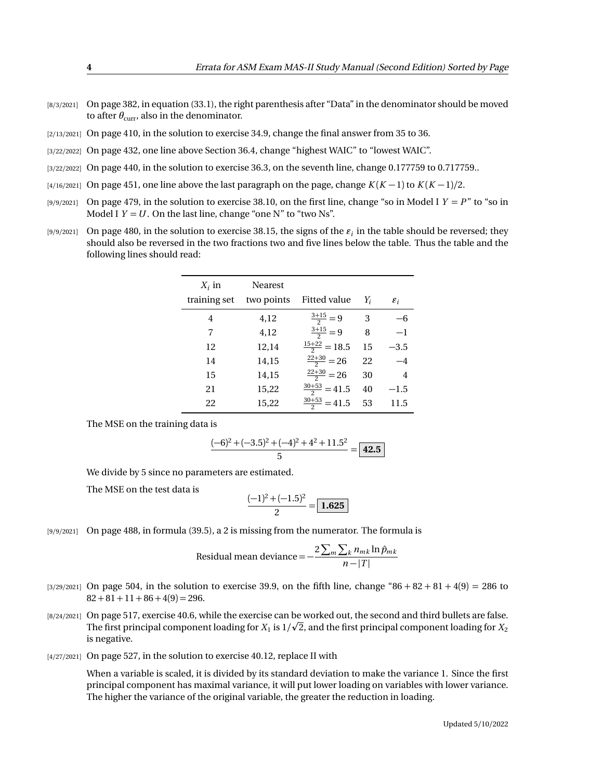- [8/3/2021] On page 382, in equation (33.1), the right parenthesis after "Data" in the denominator should be moved to after  $\theta_{\text{curr}}$ , also in the denominator.
- [2/13/2021] On page 410, in the solution to exercise 34.9, change the final answer from 35 to 36.
- [3/22/2022] On page 432, one line above Section 36.4, change "highest WAIC" to "lowest WAIC".
- [3/22/2022] On page 440, in the solution to exercise 36.3, on the seventh line, change 0.177759 to 0.717759...
- [4/16/2021] On page 451, one line above the last paragraph on the page, change *K* (*K* − 1) to *K* (*K* − 1)*/*2.
- $[9/9/2021]$  On page 479, in the solution to exercise 38.10, on the first line, change "so in Model I  $Y = P$ " to "so in Model I  $Y = U$ . On the last line, change "one N" to "two Ns".
- $_{[9/9/2021]}$  On page 480, in the solution to exercise 38.15, the signs of the  $\varepsilon_i$  in the table should be reversed; they should also be reversed in the two fractions two and five lines below the table. Thus the table and the following lines should read:

| $X_i$ in     | Nearest    |                          |       |                 |
|--------------|------------|--------------------------|-------|-----------------|
| training set | two points | Fitted value             | $Y_i$ | $\varepsilon_i$ |
| 4            | 4,12       | $\frac{3+15}{2} = 9$     | 3     | -6              |
| 7            | 4,12       | $\frac{3+15}{2} = 9$     | 8     | $-1$            |
| 12           | 12,14      | $\frac{15+22}{2} = 18.5$ | 15    | $-3.5$          |
| 14           | 14,15      | $\frac{22+30}{2} = 26$   | 22    | $-4$            |
| 15           | 14,15      | $\frac{22+30}{2} = 26$   | 30    | 4               |
| 21           | 15,22      | $\frac{30+53}{2}$ = 41.5 | 40    | $-1.5$          |
| 22           | 15,22      | $\frac{30+53}{2}$ = 41.5 | 53    | 11.5            |

The MSE on the training data is

$$
\frac{(-6)^2 + (-3.5)^2 + (-4)^2 + 4^2 + 11.5^2}{5} = \boxed{42.5}
$$

We divide by 5 since no parameters are estimated.

The MSE on the test data is

$$
\frac{(-1)^2 + (-1.5)^2}{2} = \boxed{1.625}
$$

[9/9/2021] On page 488, in formula (39.5), a 2 is missing from the numerator. The formula is

Residual mean deviance = 
$$
-\frac{2\sum_{m}\sum_{k}n_{mk}\ln\hat{p}_{mk}}{n-|T|}
$$

- $[3/29/2021]$  On page 504, in the solution to exercise 39.9, on the fifth line, change "86 + 82 + 81 + 4(9) = 286 to  $82 + 81 + 11 + 86 + 4(9) = 296.$
- [8/24/2021] On page 517, exercise 40.6, while the exercise can be worked out, the second and third bullets are false. p The first principal component loading for  $X_1$  is  $1/\surd 2$ , and the first principal component loading for  $X_2$ is negative.
- [4/27/2021] On page 527, in the solution to exercise 40.12, replace II with

When a variable is scaled, it is divided by its standard deviation to make the variance 1. Since the first principal component has maximal variance, it will put lower loading on variables with lower variance. The higher the variance of the original variable, the greater the reduction in loading.